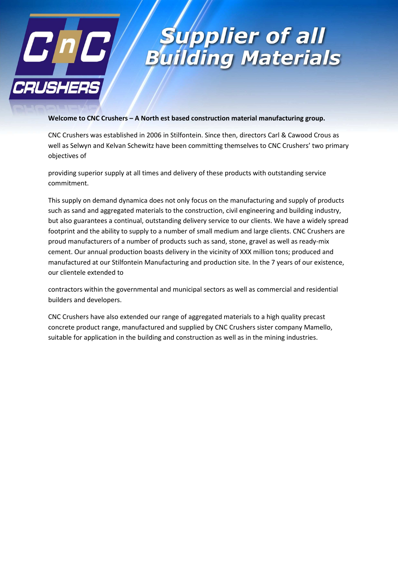

### **Supplier of all** uilding Materials

#### **Welcome to CNC Crushers – A North est based construction material manufacturing group.**

CNC Crushers was established in 2006 in Stilfontein. Since then, directors Carl & Cawood Crous as well as Selwyn and Kelvan Schewitz have been committing themselves to CNC Crushers' two primary objectives of

providing superior supply at all times and delivery of these products with outstanding service commitment.

This supply on demand dynamica does not only focus on the manufacturing and supply of products such as sand and aggregated materials to the construction, civil engineering and building industry, but also guarantees a continual, outstanding delivery service to our clients. We have a widely spread footprint and the ability to supply to a number of small medium and large clients. CNC Crushers are proud manufacturers of a number of products such as sand, stone, gravel as well as ready-mix cement. Our annual production boasts delivery in the vicinity of XXX million tons; produced and manufactured at our Stilfontein Manufacturing and production site. In the 7 years of our existence, our clientele extended to

contractors within the governmental and municipal sectors as well as commercial and residential builders and developers.

CNC Crushers have also extended our range of aggregated materials to a high quality precast concrete product range, manufactured and supplied by CNC Crushers sister company Mamello, suitable for application in the building and construction as well as in the mining industries.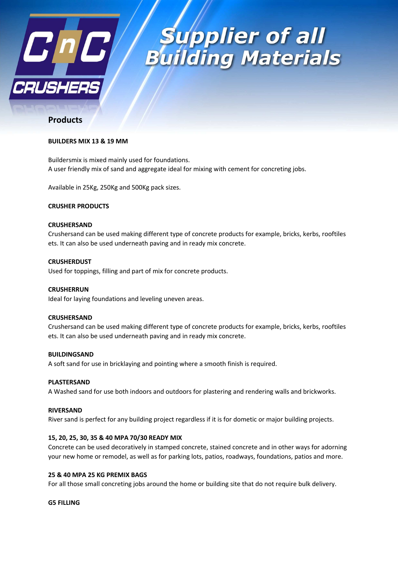

## *Supplier of all<br>uilding Materials*

### **Products**

#### **BUILDERS MIX 13 & 19 MM**

Buildersmix is mixed mainly used for foundations. A user friendly mix of sand and aggregate ideal for mixing with cement for concreting jobs.

Available in 25Kg, 250Kg and 500Kg pack sizes.

#### **CRUSHER PRODUCTS**

#### **CRUSHERSAND**

Crushersand can be used making different type of concrete products for example, bricks, kerbs, rooftiles ets. It can also be used underneath paving and in ready mix concrete.

#### **CRUSHERDUST**

Used for toppings, filling and part of mix for concrete products.

#### **CRUSHERRUN**

Ideal for laying foundations and leveling uneven areas.

#### **CRUSHERSAND**

Crushersand can be used making different type of concrete products for example, bricks, kerbs, rooftiles ets. It can also be used underneath paving and in ready mix concrete.

#### **BUILDINGSAND**

A soft sand for use in bricklaying and pointing where a smooth finish is required.

#### **PLASTERSAND**

A Washed sand for use both indoors and outdoors for plastering and rendering walls and brickworks.

#### **RIVERSAND**

River sand is perfect for any building project regardless if it is for dometic or major building projects.

#### **15, 20, 25, 30, 35 & 40 MPA 70/30 READY MIX**

Concrete can be used decoratively in stamped concrete, stained concrete and in other ways for adorning your new home or remodel, as well as for parking lots, patios, roadways, foundations, patios and more.

#### **25 & 40 MPA 25 KG PREMIX BAGS**

For all those small concreting jobs around the home or building site that do not require bulk delivery.

#### **G5 FILLING**